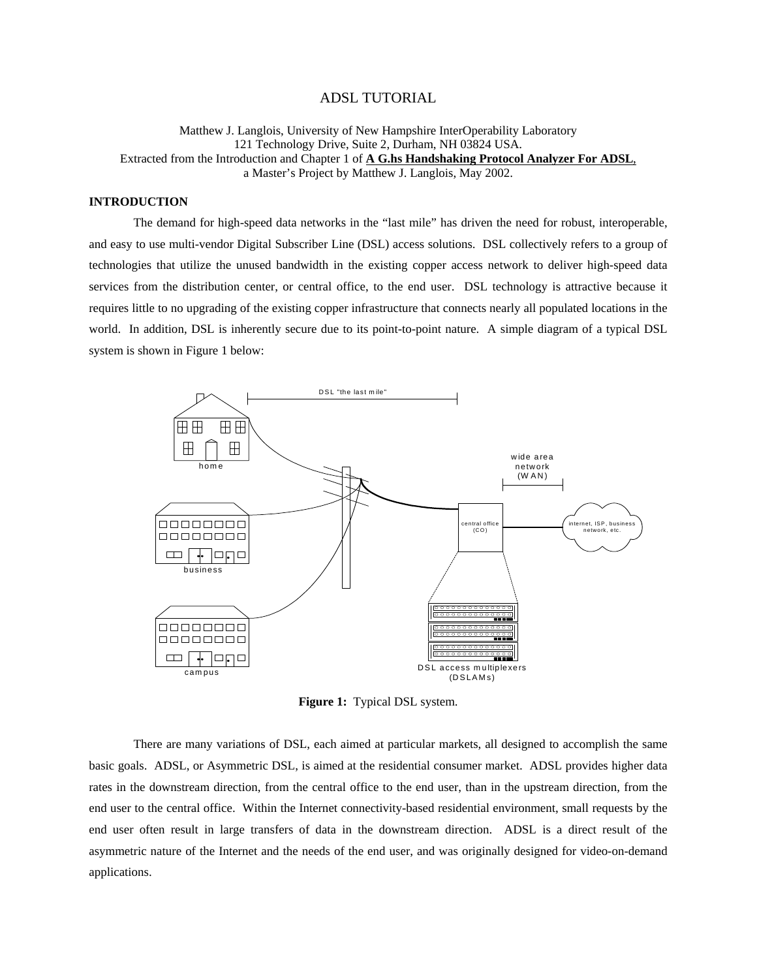# ADSL TUTORIAL

Matthew J. Langlois, University of New Hampshire InterOperability Laboratory 121 Technology Drive, Suite 2, Durham, NH 03824 USA. Extracted from the Introduction and Chapter 1 of **A G.hs Handshaking Protocol Analyzer For ADSL**, a Master's Project by Matthew J. Langlois, May 2002.

# **INTRODUCTION**

The demand for high-speed data networks in the "last mile" has driven the need for robust, interoperable, and easy to use multi-vendor Digital Subscriber Line (DSL) access solutions. DSL collectively refers to a group of technologies that utilize the unused bandwidth in the existing copper access network to deliver high-speed data services from the distribution center, or central office, to the end user. DSL technology is attractive because it requires little to no upgrading of the existing copper infrastructure that connects nearly all populated locations in the world. In addition, DSL is inherently secure due to its point-to-point nature. A simple diagram of a typical DSL system is shown in Figure 1 below:



**Figure 1:** Typical DSL system.

There are many variations of DSL, each aimed at particular markets, all designed to accomplish the same basic goals. ADSL, or Asymmetric DSL, is aimed at the residential consumer market. ADSL provides higher data rates in the downstream direction, from the central office to the end user, than in the upstream direction, from the end user to the central office. Within the Internet connectivity-based residential environment, small requests by the end user often result in large transfers of data in the downstream direction. ADSL is a direct result of the asymmetric nature of the Internet and the needs of the end user, and was originally designed for video-on-demand applications.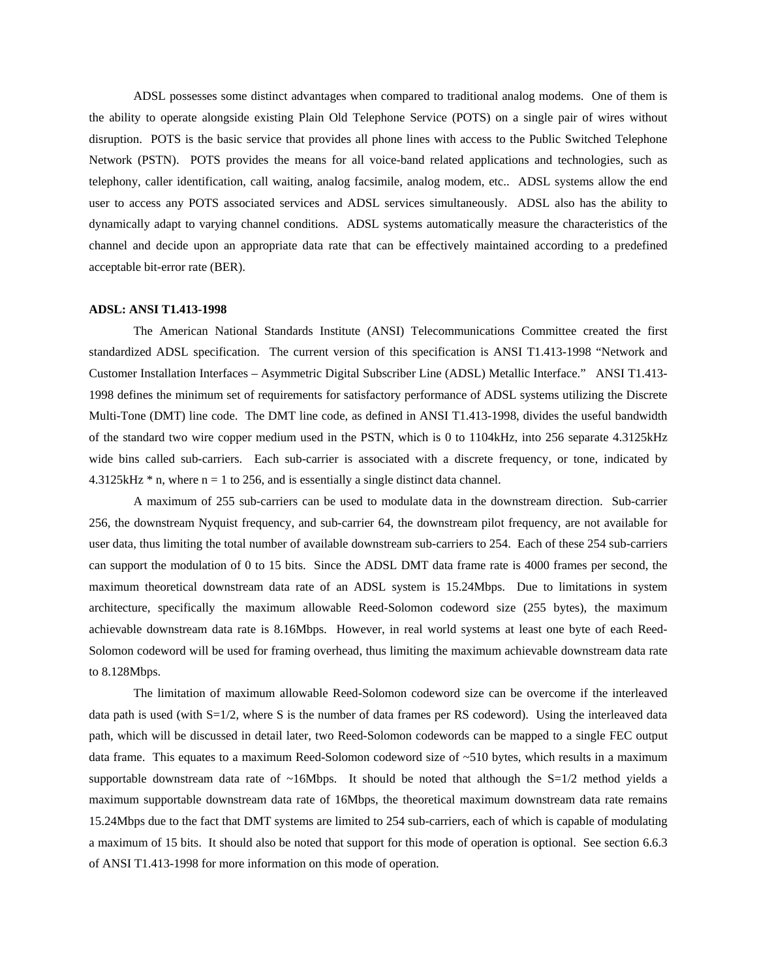ADSL possesses some distinct advantages when compared to traditional analog modems. One of them is the ability to operate alongside existing Plain Old Telephone Service (POTS) on a single pair of wires without disruption. POTS is the basic service that provides all phone lines with access to the Public Switched Telephone Network (PSTN). POTS provides the means for all voice-band related applications and technologies, such as telephony, caller identification, call waiting, analog facsimile, analog modem, etc.. ADSL systems allow the end user to access any POTS associated services and ADSL services simultaneously. ADSL also has the ability to dynamically adapt to varying channel conditions. ADSL systems automatically measure the characteristics of the channel and decide upon an appropriate data rate that can be effectively maintained according to a predefined acceptable bit-error rate (BER).

#### **ADSL: ANSI T1.413-1998**

 The American National Standards Institute (ANSI) Telecommunications Committee created the first standardized ADSL specification. The current version of this specification is ANSI T1.413-1998 "Network and Customer Installation Interfaces – Asymmetric Digital Subscriber Line (ADSL) Metallic Interface." ANSI T1.413- 1998 defines the minimum set of requirements for satisfactory performance of ADSL systems utilizing the Discrete Multi-Tone (DMT) line code. The DMT line code, as defined in ANSI T1.413-1998, divides the useful bandwidth of the standard two wire copper medium used in the PSTN, which is 0 to 1104kHz, into 256 separate 4.3125kHz wide bins called sub-carriers. Each sub-carrier is associated with a discrete frequency, or tone, indicated by  $4.3125kHz * n$ , where n = 1 to 256, and is essentially a single distinct data channel.

A maximum of 255 sub-carriers can be used to modulate data in the downstream direction. Sub-carrier 256, the downstream Nyquist frequency, and sub-carrier 64, the downstream pilot frequency, are not available for user data, thus limiting the total number of available downstream sub-carriers to 254. Each of these 254 sub-carriers can support the modulation of 0 to 15 bits. Since the ADSL DMT data frame rate is 4000 frames per second, the maximum theoretical downstream data rate of an ADSL system is 15.24Mbps. Due to limitations in system architecture, specifically the maximum allowable Reed-Solomon codeword size (255 bytes), the maximum achievable downstream data rate is 8.16Mbps. However, in real world systems at least one byte of each Reed-Solomon codeword will be used for framing overhead, thus limiting the maximum achievable downstream data rate to 8.128Mbps.

The limitation of maximum allowable Reed-Solomon codeword size can be overcome if the interleaved data path is used (with S=1/2, where S is the number of data frames per RS codeword). Using the interleaved data path, which will be discussed in detail later, two Reed-Solomon codewords can be mapped to a single FEC output data frame. This equates to a maximum Reed-Solomon codeword size of ~510 bytes, which results in a maximum supportable downstream data rate of  $\sim$ 16Mbps. It should be noted that although the S=1/2 method yields a maximum supportable downstream data rate of 16Mbps, the theoretical maximum downstream data rate remains 15.24Mbps due to the fact that DMT systems are limited to 254 sub-carriers, each of which is capable of modulating a maximum of 15 bits. It should also be noted that support for this mode of operation is optional. See section 6.6.3 of ANSI T1.413-1998 for more information on this mode of operation.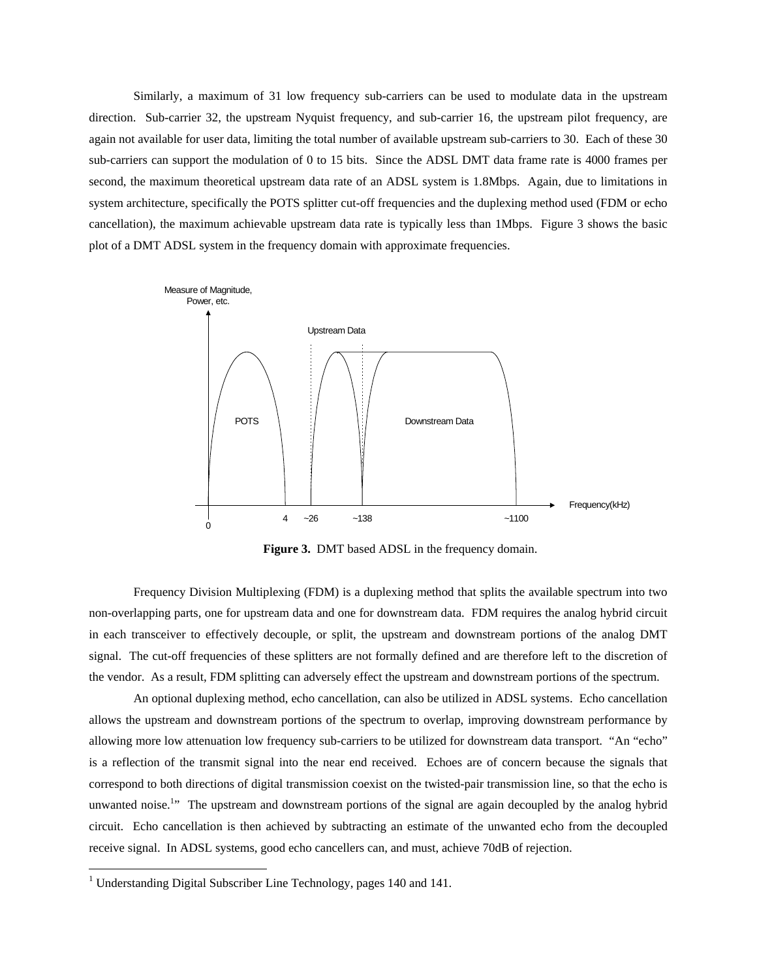Similarly, a maximum of 31 low frequency sub-carriers can be used to modulate data in the upstream direction. Sub-carrier 32, the upstream Nyquist frequency, and sub-carrier 16, the upstream pilot frequency, are again not available for user data, limiting the total number of available upstream sub-carriers to 30. Each of these 30 sub-carriers can support the modulation of 0 to 15 bits. Since the ADSL DMT data frame rate is 4000 frames per second, the maximum theoretical upstream data rate of an ADSL system is 1.8Mbps. Again, due to limitations in system architecture, specifically the POTS splitter cut-off frequencies and the duplexing method used (FDM or echo cancellation), the maximum achievable upstream data rate is typically less than 1Mbps. Figure 3 shows the basic plot of a DMT ADSL system in the frequency domain with approximate frequencies.



**Figure 3.** DMT based ADSL in the frequency domain.

Frequency Division Multiplexing (FDM) is a duplexing method that splits the available spectrum into two non-overlapping parts, one for upstream data and one for downstream data. FDM requires the analog hybrid circuit in each transceiver to effectively decouple, or split, the upstream and downstream portions of the analog DMT signal. The cut-off frequencies of these splitters are not formally defined and are therefore left to the discretion of the vendor. As a result, FDM splitting can adversely effect the upstream and downstream portions of the spectrum.

An optional duplexing method, echo cancellation, can also be utilized in ADSL systems. Echo cancellation allows the upstream and downstream portions of the spectrum to overlap, improving downstream performance by allowing more low attenuation low frequency sub-carriers to be utilized for downstream data transport. "An "echo" is a reflection of the transmit signal into the near end received. Echoes are of concern because the signals that correspond to both directions of digital transmission coexist on the twisted-pair transmission line, so that the echo is unwanted noise.<sup>1</sup>" The upstream and downstream portions of the signal are again decoupled by the analog hybrid circuit. Echo cancellation is then achieved by subtracting an estimate of the unwanted echo from the decoupled receive signal. In ADSL systems, good echo cancellers can, and must, achieve 70dB of rejection.

<sup>&</sup>lt;sup>1</sup> Understanding Digital Subscriber Line Technology, pages 140 and 141.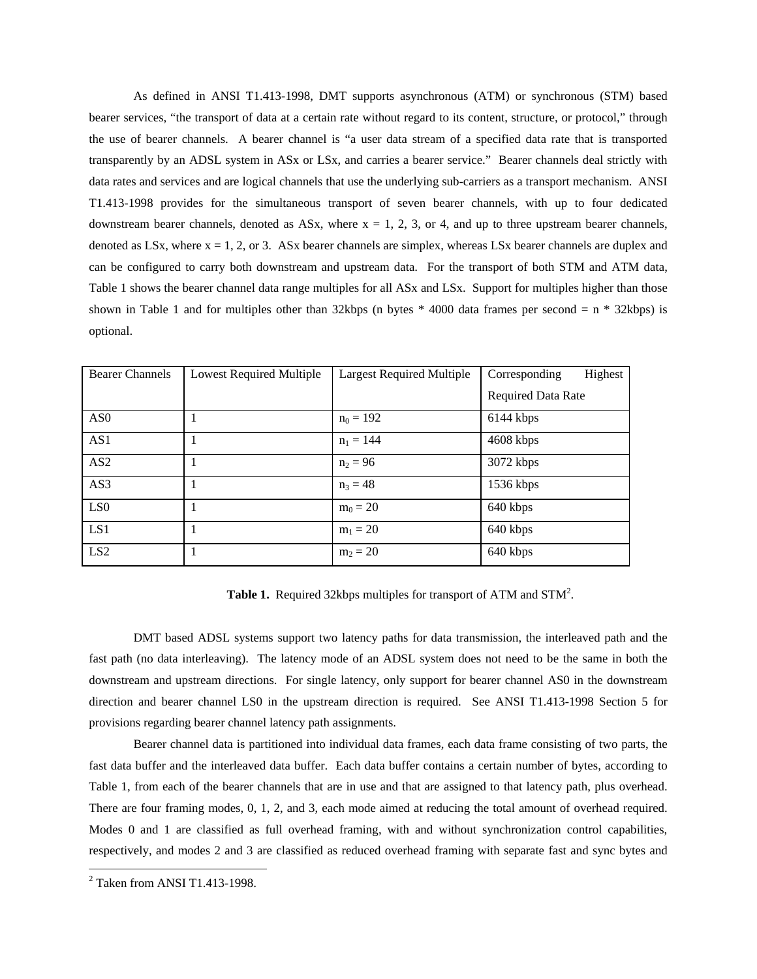As defined in ANSI T1.413-1998, DMT supports asynchronous (ATM) or synchronous (STM) based bearer services, "the transport of data at a certain rate without regard to its content, structure, or protocol," through the use of bearer channels. A bearer channel is "a user data stream of a specified data rate that is transported transparently by an ADSL system in ASx or LSx, and carries a bearer service." Bearer channels deal strictly with data rates and services and are logical channels that use the underlying sub-carriers as a transport mechanism. ANSI T1.413-1998 provides for the simultaneous transport of seven bearer channels, with up to four dedicated downstream bearer channels, denoted as ASx, where  $x = 1, 2, 3$ , or 4, and up to three upstream bearer channels, denoted as LSx, where  $x = 1, 2,$  or 3. ASx bearer channels are simplex, whereas LSx bearer channels are duplex and can be configured to carry both downstream and upstream data. For the transport of both STM and ATM data, Table 1 shows the bearer channel data range multiples for all ASx and LSx. Support for multiples higher than those shown in Table 1 and for multiples other than 32kbps (n bytes  $*$  4000 data frames per second = n  $*$  32kbps) is optional.

| <b>Bearer Channels</b> | Lowest Required Multiple | <b>Largest Required Multiple</b> | Corresponding<br>Highest  |
|------------------------|--------------------------|----------------------------------|---------------------------|
|                        |                          |                                  | <b>Required Data Rate</b> |
| AS <sub>0</sub>        |                          | $n_0 = 192$                      | 6144 kbps                 |
| AS1                    |                          | $n_1 = 144$                      | 4608 kbps                 |
| AS2                    | -1                       | $n_2 = 96$                       | 3072 kbps                 |
| AS3                    | -1                       | $n_3 = 48$                       | $1536$ kbps               |
| LS <sub>0</sub>        |                          | $m_0 = 20$                       | 640 kbps                  |
| LS1                    |                          | $m_1 = 20$                       | 640 kbps                  |
| LS <sub>2</sub>        |                          | $m_2 = 20$                       | 640 kbps                  |

Table 1. Required 32kbps multiples for transport of ATM and STM<sup>2</sup>.

 DMT based ADSL systems support two latency paths for data transmission, the interleaved path and the fast path (no data interleaving). The latency mode of an ADSL system does not need to be the same in both the downstream and upstream directions. For single latency, only support for bearer channel AS0 in the downstream direction and bearer channel LS0 in the upstream direction is required. See ANSI T1.413-1998 Section 5 for provisions regarding bearer channel latency path assignments.

 Bearer channel data is partitioned into individual data frames, each data frame consisting of two parts, the fast data buffer and the interleaved data buffer. Each data buffer contains a certain number of bytes, according to Table 1, from each of the bearer channels that are in use and that are assigned to that latency path, plus overhead. There are four framing modes, 0, 1, 2, and 3, each mode aimed at reducing the total amount of overhead required. Modes 0 and 1 are classified as full overhead framing, with and without synchronization control capabilities, respectively, and modes 2 and 3 are classified as reduced overhead framing with separate fast and sync bytes and

 $2$  Taken from ANSI T1.413-1998.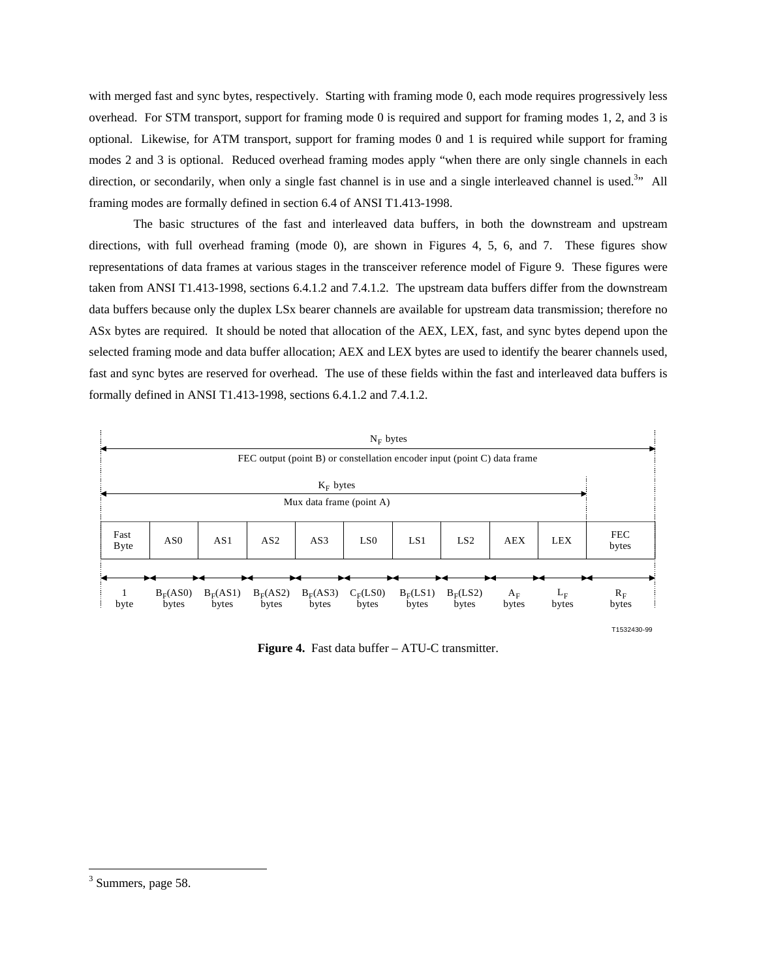with merged fast and sync bytes, respectively. Starting with framing mode 0, each mode requires progressively less overhead. For STM transport, support for framing mode 0 is required and support for framing modes 1, 2, and 3 is optional. Likewise, for ATM transport, support for framing modes 0 and 1 is required while support for framing modes 2 and 3 is optional. Reduced overhead framing modes apply "when there are only single channels in each direction, or secondarily, when only a single fast channel is in use and a single interleaved channel is used.<sup>3</sup>" All framing modes are formally defined in section 6.4 of ANSI T1.413-1998.

The basic structures of the fast and interleaved data buffers, in both the downstream and upstream directions, with full overhead framing (mode 0), are shown in Figures 4, 5, 6, and 7. These figures show representations of data frames at various stages in the transceiver reference model of Figure 9. These figures were taken from ANSI T1.413-1998, sections 6.4.1.2 and 7.4.1.2. The upstream data buffers differ from the downstream data buffers because only the duplex LSx bearer channels are available for upstream data transmission; therefore no ASx bytes are required. It should be noted that allocation of the AEX, LEX, fast, and sync bytes depend upon the selected framing mode and data buffer allocation; AEX and LEX bytes are used to identify the bearer channels used, fast and sync bytes are reserved for overhead. The use of these fields within the fast and interleaved data buffers is formally defined in ANSI T1.413-1998, sections 6.4.1.2 and 7.4.1.2.



**Figure 4.** Fast data buffer – ATU-C transmitter.

<sup>&</sup>lt;sup>3</sup> Summers, page 58.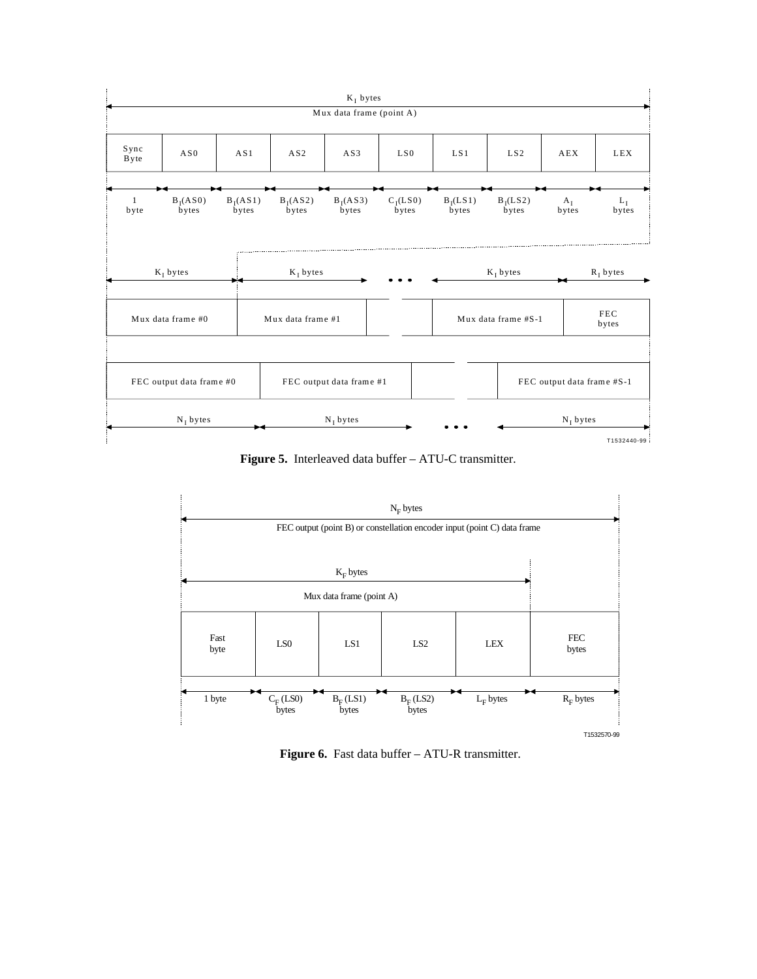

**Figure 5.** Interleaved data buffer – ATU-C transmitter.



Figure 6. Fast data buffer – ATU-R transmitter.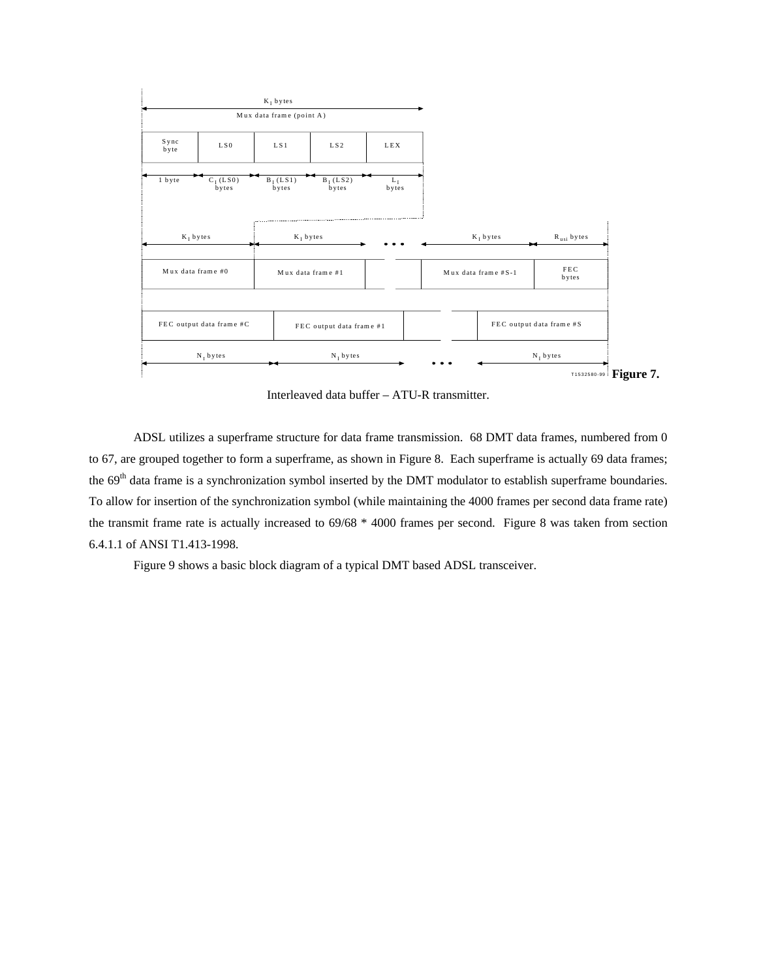

Interleaved data buffer – ATU-R transmitter.

ADSL utilizes a superframe structure for data frame transmission. 68 DMT data frames, numbered from 0 to 67, are grouped together to form a superframe, as shown in Figure 8. Each superframe is actually 69 data frames; the 69<sup>th</sup> data frame is a synchronization symbol inserted by the DMT modulator to establish superframe boundaries. To allow for insertion of the synchronization symbol (while maintaining the 4000 frames per second data frame rate) the transmit frame rate is actually increased to 69/68 \* 4000 frames per second. Figure 8 was taken from section 6.4.1.1 of ANSI T1.413-1998.

Figure 9 shows a basic block diagram of a typical DMT based ADSL transceiver.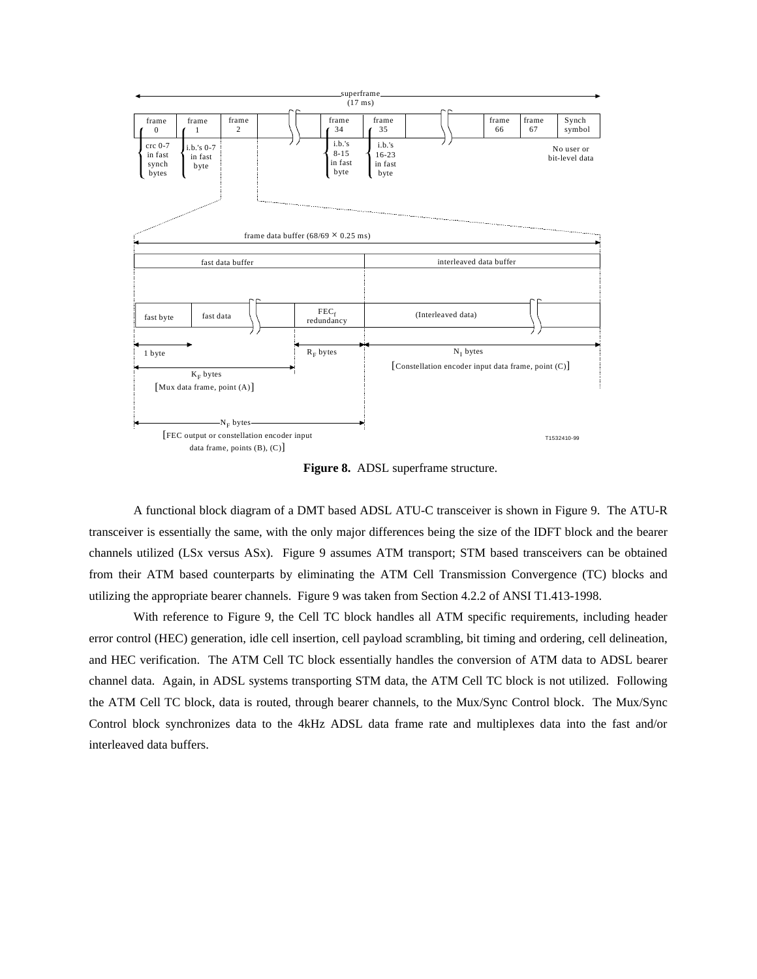

**Figure 8.** ADSL superframe structure.

A functional block diagram of a DMT based ADSL ATU-C transceiver is shown in Figure 9. The ATU-R transceiver is essentially the same, with the only major differences being the size of the IDFT block and the bearer channels utilized (LSx versus ASx). Figure 9 assumes ATM transport; STM based transceivers can be obtained from their ATM based counterparts by eliminating the ATM Cell Transmission Convergence (TC) blocks and utilizing the appropriate bearer channels. Figure 9 was taken from Section 4.2.2 of ANSI T1.413-1998.

With reference to Figure 9, the Cell TC block handles all ATM specific requirements, including header error control (HEC) generation, idle cell insertion, cell payload scrambling, bit timing and ordering, cell delineation, and HEC verification. The ATM Cell TC block essentially handles the conversion of ATM data to ADSL bearer channel data. Again, in ADSL systems transporting STM data, the ATM Cell TC block is not utilized. Following the ATM Cell TC block, data is routed, through bearer channels, to the Mux/Sync Control block. The Mux/Sync Control block synchronizes data to the 4kHz ADSL data frame rate and multiplexes data into the fast and/or interleaved data buffers.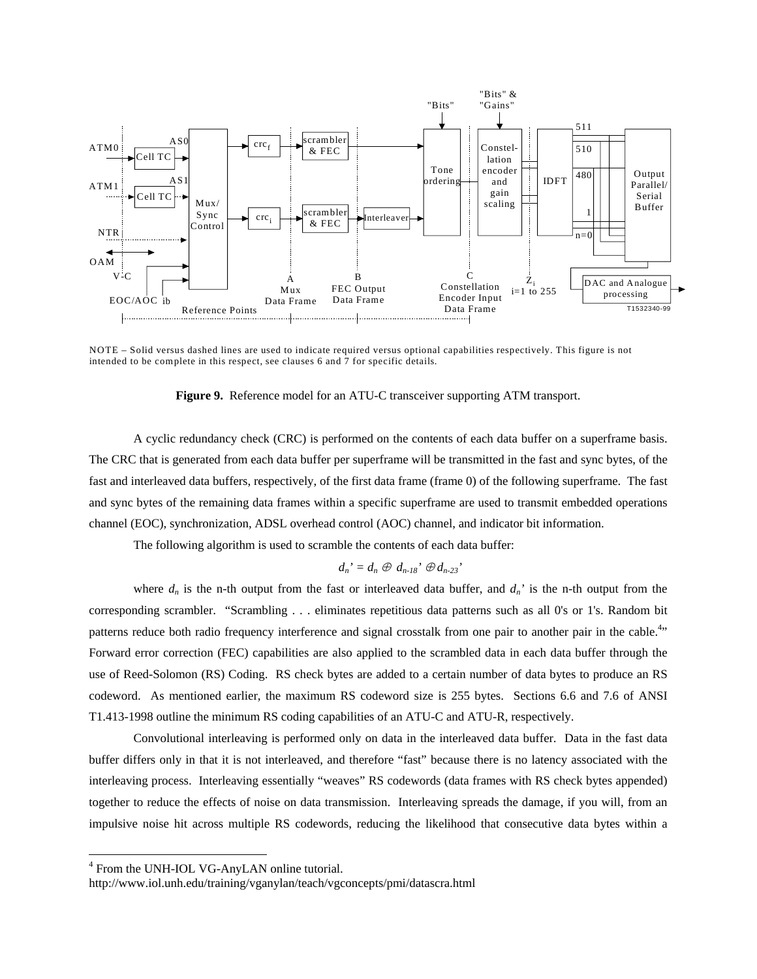

NOTE – Solid versus dashed lines are used to indicate required versus optional capabilities respectively. This figure is not intended to be complete in this respect, see clauses 6 and 7 for specific details.

### **Figure 9.** Reference model for an ATU-C transceiver supporting ATM transport.

A cyclic redundancy check (CRC) is performed on the contents of each data buffer on a superframe basis. The CRC that is generated from each data buffer per superframe will be transmitted in the fast and sync bytes, of the fast and interleaved data buffers, respectively, of the first data frame (frame 0) of the following superframe. The fast and sync bytes of the remaining data frames within a specific superframe are used to transmit embedded operations channel (EOC), synchronization, ADSL overhead control (AOC) channel, and indicator bit information.

The following algorithm is used to scramble the contents of each data buffer:

$$
d_n' = d_n \oplus d_{n-18} \oplus d_{n-23} \oplus d_{n-3}
$$

where  $d_n$  is the n-th output from the fast or interleaved data buffer, and  $d_n$ ' is the n-th output from the corresponding scrambler. "Scrambling . . . eliminates repetitious data patterns such as all 0's or 1's. Random bit patterns reduce both radio frequency interference and signal crosstalk from one pair to another pair in the cable.<sup>4</sup>" Forward error correction (FEC) capabilities are also applied to the scrambled data in each data buffer through the use of Reed-Solomon (RS) Coding. RS check bytes are added to a certain number of data bytes to produce an RS codeword. As mentioned earlier, the maximum RS codeword size is 255 bytes. Sections 6.6 and 7.6 of ANSI T1.413-1998 outline the minimum RS coding capabilities of an ATU-C and ATU-R, respectively.

Convolutional interleaving is performed only on data in the interleaved data buffer. Data in the fast data buffer differs only in that it is not interleaved, and therefore "fast" because there is no latency associated with the interleaving process. Interleaving essentially "weaves" RS codewords (data frames with RS check bytes appended) together to reduce the effects of noise on data transmission. Interleaving spreads the damage, if you will, from an impulsive noise hit across multiple RS codewords, reducing the likelihood that consecutive data bytes within a

<sup>4</sup> From the UNH-IOL VG-AnyLAN online tutorial.

http://www.iol.unh.edu/training/vganylan/teach/vgconcepts/pmi/datascra.html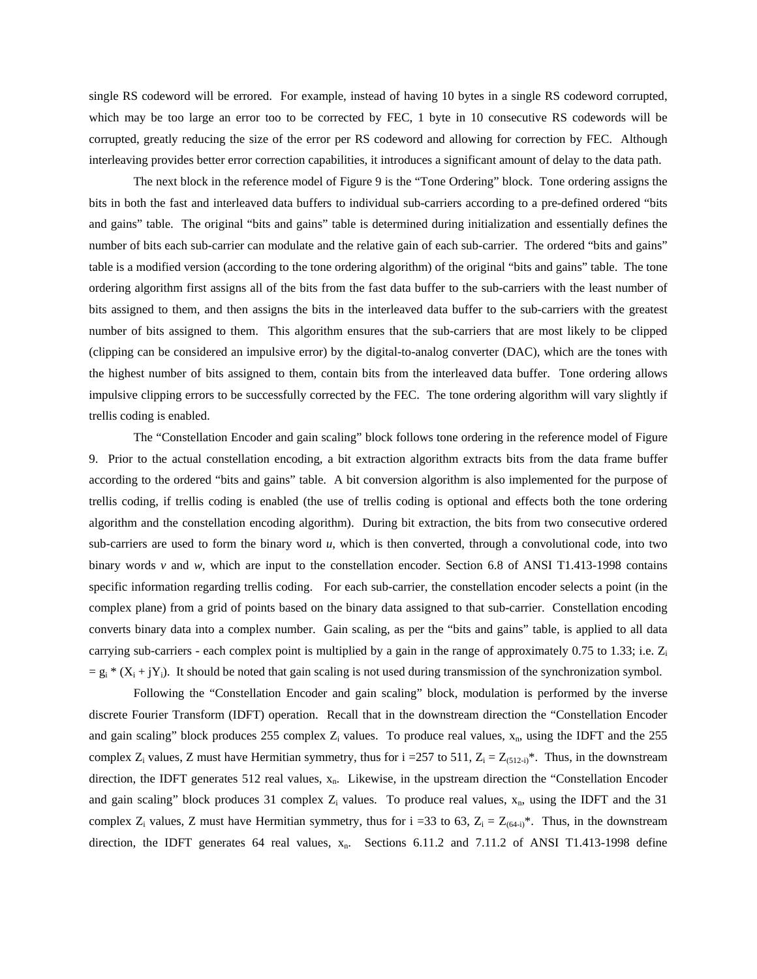single RS codeword will be errored. For example, instead of having 10 bytes in a single RS codeword corrupted, which may be too large an error too to be corrected by FEC, 1 byte in 10 consecutive RS codewords will be corrupted, greatly reducing the size of the error per RS codeword and allowing for correction by FEC. Although interleaving provides better error correction capabilities, it introduces a significant amount of delay to the data path.

The next block in the reference model of Figure 9 is the "Tone Ordering" block. Tone ordering assigns the bits in both the fast and interleaved data buffers to individual sub-carriers according to a pre-defined ordered "bits and gains" table. The original "bits and gains" table is determined during initialization and essentially defines the number of bits each sub-carrier can modulate and the relative gain of each sub-carrier. The ordered "bits and gains" table is a modified version (according to the tone ordering algorithm) of the original "bits and gains" table. The tone ordering algorithm first assigns all of the bits from the fast data buffer to the sub-carriers with the least number of bits assigned to them, and then assigns the bits in the interleaved data buffer to the sub-carriers with the greatest number of bits assigned to them. This algorithm ensures that the sub-carriers that are most likely to be clipped (clipping can be considered an impulsive error) by the digital-to-analog converter (DAC), which are the tones with the highest number of bits assigned to them, contain bits from the interleaved data buffer. Tone ordering allows impulsive clipping errors to be successfully corrected by the FEC. The tone ordering algorithm will vary slightly if trellis coding is enabled.

The "Constellation Encoder and gain scaling" block follows tone ordering in the reference model of Figure 9. Prior to the actual constellation encoding, a bit extraction algorithm extracts bits from the data frame buffer according to the ordered "bits and gains" table. A bit conversion algorithm is also implemented for the purpose of trellis coding, if trellis coding is enabled (the use of trellis coding is optional and effects both the tone ordering algorithm and the constellation encoding algorithm). During bit extraction, the bits from two consecutive ordered sub-carriers are used to form the binary word *u*, which is then converted, through a convolutional code, into two binary words *v* and *w*, which are input to the constellation encoder. Section 6.8 of ANSI T1.413-1998 contains specific information regarding trellis coding. For each sub-carrier, the constellation encoder selects a point (in the complex plane) from a grid of points based on the binary data assigned to that sub-carrier. Constellation encoding converts binary data into a complex number. Gain scaling, as per the "bits and gains" table, is applied to all data carrying sub-carriers - each complex point is multiplied by a gain in the range of approximately 0.75 to 1.33; i.e. Z<sub>i</sub>  $= g_i * (X_i + jY_i)$ . It should be noted that gain scaling is not used during transmission of the synchronization symbol.

Following the "Constellation Encoder and gain scaling" block, modulation is performed by the inverse discrete Fourier Transform (IDFT) operation. Recall that in the downstream direction the "Constellation Encoder and gain scaling" block produces 255 complex  $Z_i$  values. To produce real values,  $x_n$ , using the IDFT and the 255 complex  $Z_i$  values, Z must have Hermitian symmetry, thus for i =257 to 511,  $Z_i = Z_{(512-i)}^*$ . Thus, in the downstream direction, the IDFT generates 512 real values, x<sub>n</sub>. Likewise, in the upstream direction the "Constellation Encoder and gain scaling" block produces 31 complex  $Z_i$  values. To produce real values,  $x_n$ , using the IDFT and the 31 complex Z<sub>i</sub> values, Z must have Hermitian symmetry, thus for  $i = 33$  to 63, Z<sub>i</sub> = Z<sub>(64-i)</sub>\*. Thus, in the downstream direction, the IDFT generates 64 real values,  $x_n$ . Sections 6.11.2 and 7.11.2 of ANSI T1.413-1998 define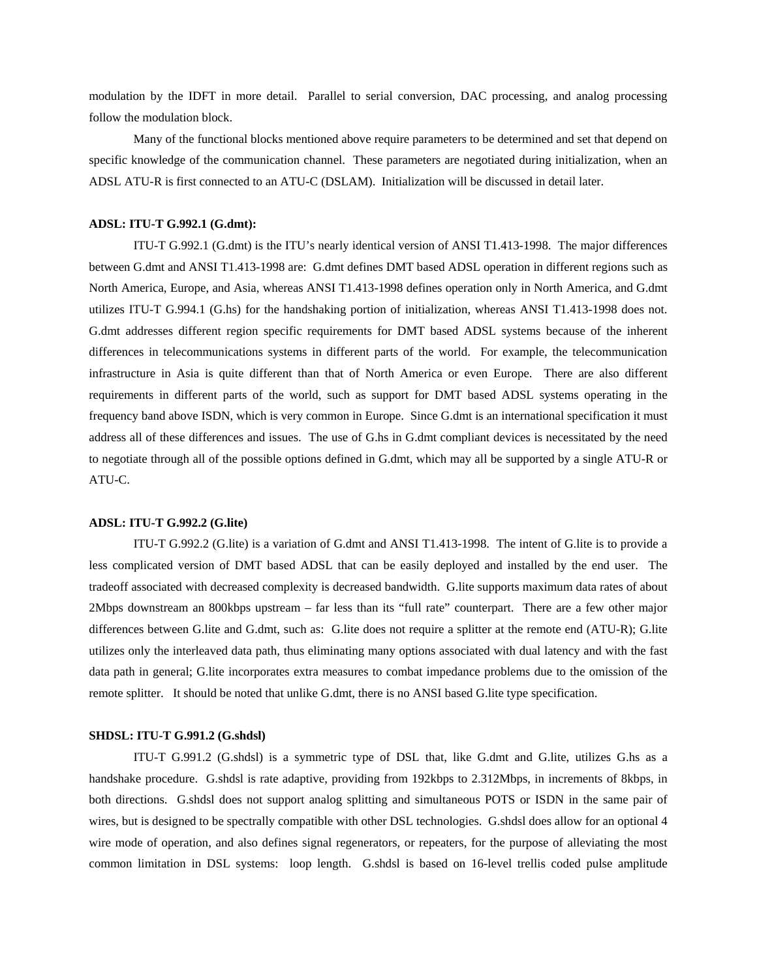modulation by the IDFT in more detail. Parallel to serial conversion, DAC processing, and analog processing follow the modulation block.

Many of the functional blocks mentioned above require parameters to be determined and set that depend on specific knowledge of the communication channel. These parameters are negotiated during initialization, when an ADSL ATU-R is first connected to an ATU-C (DSLAM). Initialization will be discussed in detail later.

# **ADSL: ITU-T G.992.1 (G.dmt):**

 ITU-T G.992.1 (G.dmt) is the ITU's nearly identical version of ANSI T1.413-1998. The major differences between G.dmt and ANSI T1.413-1998 are: G.dmt defines DMT based ADSL operation in different regions such as North America, Europe, and Asia, whereas ANSI T1.413-1998 defines operation only in North America, and G.dmt utilizes ITU-T G.994.1 (G.hs) for the handshaking portion of initialization, whereas ANSI T1.413-1998 does not. G.dmt addresses different region specific requirements for DMT based ADSL systems because of the inherent differences in telecommunications systems in different parts of the world. For example, the telecommunication infrastructure in Asia is quite different than that of North America or even Europe. There are also different requirements in different parts of the world, such as support for DMT based ADSL systems operating in the frequency band above ISDN, which is very common in Europe. Since G.dmt is an international specification it must address all of these differences and issues. The use of G.hs in G.dmt compliant devices is necessitated by the need to negotiate through all of the possible options defined in G.dmt, which may all be supported by a single ATU-R or ATU-C.

### **ADSL: ITU-T G.992.2 (G.lite)**

 ITU-T G.992.2 (G.lite) is a variation of G.dmt and ANSI T1.413-1998. The intent of G.lite is to provide a less complicated version of DMT based ADSL that can be easily deployed and installed by the end user. The tradeoff associated with decreased complexity is decreased bandwidth. G.lite supports maximum data rates of about 2Mbps downstream an 800kbps upstream – far less than its "full rate" counterpart. There are a few other major differences between G.lite and G.dmt, such as: G.lite does not require a splitter at the remote end (ATU-R); G.lite utilizes only the interleaved data path, thus eliminating many options associated with dual latency and with the fast data path in general; G.lite incorporates extra measures to combat impedance problems due to the omission of the remote splitter. It should be noted that unlike G.dmt, there is no ANSI based G.lite type specification.

### **SHDSL: ITU-T G.991.2 (G.shdsl)**

 ITU-T G.991.2 (G.shdsl) is a symmetric type of DSL that, like G.dmt and G.lite, utilizes G.hs as a handshake procedure. G.shdsl is rate adaptive, providing from 192kbps to 2.312Mbps, in increments of 8kbps, in both directions. G.shdsl does not support analog splitting and simultaneous POTS or ISDN in the same pair of wires, but is designed to be spectrally compatible with other DSL technologies. G.shdsl does allow for an optional 4 wire mode of operation, and also defines signal regenerators, or repeaters, for the purpose of alleviating the most common limitation in DSL systems: loop length. G.shdsl is based on 16-level trellis coded pulse amplitude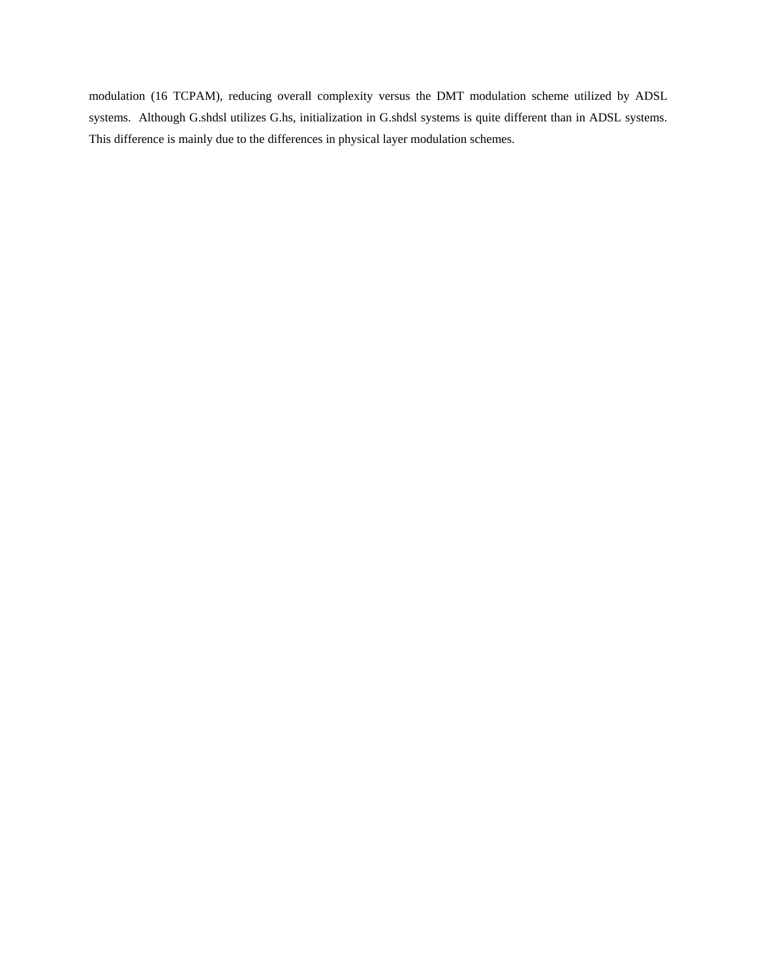modulation (16 TCPAM), reducing overall complexity versus the DMT modulation scheme utilized by ADSL systems. Although G.shdsl utilizes G.hs, initialization in G.shdsl systems is quite different than in ADSL systems. This difference is mainly due to the differences in physical layer modulation schemes.